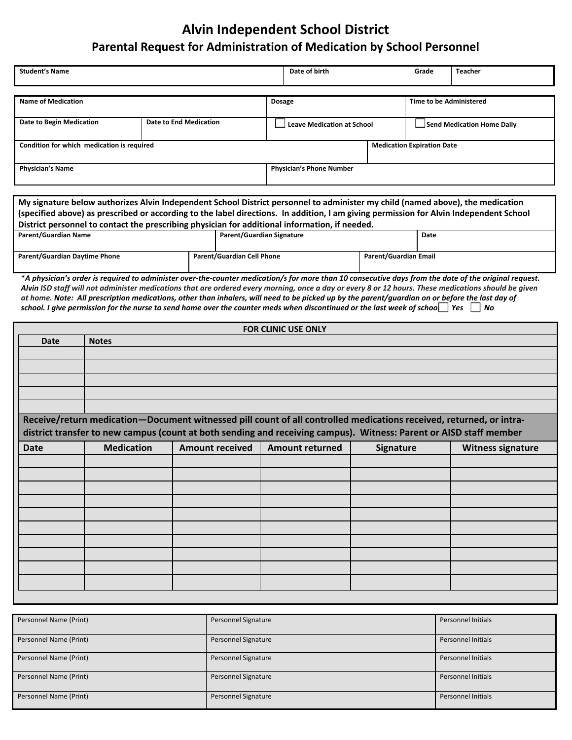## **Alvin Independent School District Parental Request for Administration of Medication by School Personnel**

| <b>Student's Name</b>                                     |                                   | Date of birth |                                   | Grade | <b>Teacher</b>                 |  |  |  |  |
|-----------------------------------------------------------|-----------------------------------|---------------|-----------------------------------|-------|--------------------------------|--|--|--|--|
|                                                           |                                   |               |                                   |       |                                |  |  |  |  |
| <b>Name of Medication</b>                                 |                                   |               | <b>Dosage</b>                     |       | <b>Time to be Administered</b> |  |  |  |  |
| Date to Begin Medication<br><b>Date to End Medication</b> |                                   |               | <b>Leave Medication at School</b> |       | Send Medication Home Daily     |  |  |  |  |
| Condition for which medication is required                | <b>Medication Expiration Date</b> |               |                                   |       |                                |  |  |  |  |
| <b>Physician's Name</b>                                   | <b>Physician's Phone Number</b>   |               |                                   |       |                                |  |  |  |  |

| My signature below authorizes Alvin Independent School District personnel to administer my child (named above), the medication         |  |                            |                       |      |  |  |  |
|----------------------------------------------------------------------------------------------------------------------------------------|--|----------------------------|-----------------------|------|--|--|--|
| (specified above) as prescribed or according to the label directions. In addition, I am giving permission for Alvin Independent School |  |                            |                       |      |  |  |  |
| District personnel to contact the prescribing physician for additional information, if needed.                                         |  |                            |                       |      |  |  |  |
| Parent/Guardian Name                                                                                                                   |  | Parent/Guardian Signature  |                       | Date |  |  |  |
|                                                                                                                                        |  |                            |                       |      |  |  |  |
| <b>Parent/Guardian Daytime Phone</b>                                                                                                   |  | Parent/Guardian Cell Phone | Parent/Guardian Email |      |  |  |  |
|                                                                                                                                        |  |                            |                       |      |  |  |  |

**\****A physician's order is required to administer over-the-counter medication/s for more than 10 consecutive days from the date of the original request. Alvin ISD staff will not administer medications that are ordered every morning, once a day or every 8 or 12 hours. These medications should be given at home. Note: All prescription medications, other than inhalers, will need to be picked up by the parent/guardian on or before the last day of school. I give permission for the nurse to send home over the counter meds when discontinued or the last week of school. Yes*  $\Box$  *No* 

| FOR CLINIC USE ONLY |                                                                                                                                                                                                                                           |                        |                        |                  |                          |  |  |  |  |  |
|---------------------|-------------------------------------------------------------------------------------------------------------------------------------------------------------------------------------------------------------------------------------------|------------------------|------------------------|------------------|--------------------------|--|--|--|--|--|
| <b>Date</b>         | <b>Notes</b>                                                                                                                                                                                                                              |                        |                        |                  |                          |  |  |  |  |  |
|                     |                                                                                                                                                                                                                                           |                        |                        |                  |                          |  |  |  |  |  |
|                     |                                                                                                                                                                                                                                           |                        |                        |                  |                          |  |  |  |  |  |
|                     |                                                                                                                                                                                                                                           |                        |                        |                  |                          |  |  |  |  |  |
|                     |                                                                                                                                                                                                                                           |                        |                        |                  |                          |  |  |  |  |  |
|                     |                                                                                                                                                                                                                                           |                        |                        |                  |                          |  |  |  |  |  |
|                     | Receive/return medication-Document witnessed pill count of all controlled medications received, returned, or intra-<br>district transfer to new campus (count at both sending and receiving campus). Witness: Parent or AISD staff member |                        |                        |                  |                          |  |  |  |  |  |
| <b>Date</b>         | <b>Medication</b>                                                                                                                                                                                                                         | <b>Amount received</b> | <b>Amount returned</b> | <b>Signature</b> | <b>Witness signature</b> |  |  |  |  |  |
|                     |                                                                                                                                                                                                                                           |                        |                        |                  |                          |  |  |  |  |  |
|                     |                                                                                                                                                                                                                                           |                        |                        |                  |                          |  |  |  |  |  |
|                     |                                                                                                                                                                                                                                           |                        |                        |                  |                          |  |  |  |  |  |
|                     |                                                                                                                                                                                                                                           |                        |                        |                  |                          |  |  |  |  |  |
|                     |                                                                                                                                                                                                                                           |                        |                        |                  |                          |  |  |  |  |  |
|                     |                                                                                                                                                                                                                                           |                        |                        |                  |                          |  |  |  |  |  |
|                     |                                                                                                                                                                                                                                           |                        |                        |                  |                          |  |  |  |  |  |
|                     |                                                                                                                                                                                                                                           |                        |                        |                  |                          |  |  |  |  |  |
|                     |                                                                                                                                                                                                                                           |                        |                        |                  |                          |  |  |  |  |  |
|                     |                                                                                                                                                                                                                                           |                        |                        |                  |                          |  |  |  |  |  |
|                     |                                                                                                                                                                                                                                           |                        |                        |                  |                          |  |  |  |  |  |

| Personnel Name (Print) | Personnel Signature | <b>Personnel Initials</b> |
|------------------------|---------------------|---------------------------|
|                        |                     |                           |
| Personnel Name (Print) | Personnel Signature | <b>Personnel Initials</b> |
|                        |                     |                           |
| Personnel Name (Print) | Personnel Signature | <b>Personnel Initials</b> |
|                        |                     |                           |
| Personnel Name (Print) | Personnel Signature | <b>Personnel Initials</b> |
|                        |                     |                           |
| Personnel Name (Print) | Personnel Signature | <b>Personnel Initials</b> |
|                        |                     |                           |